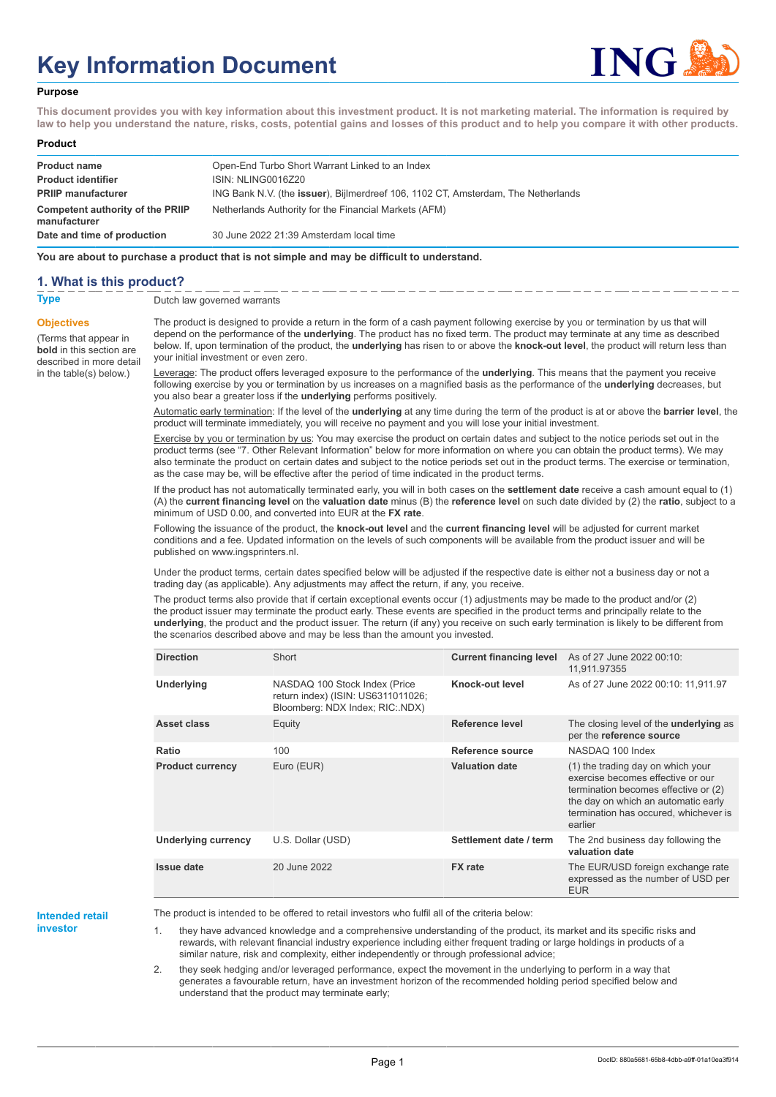# **Key Information Document**



#### **Purpose**

**This document provides you with key information about this investment product. It is not marketing material. The information is required by law to help you understand the nature, risks, costs, potential gains and losses of this product and to help you compare it with other products.**

#### **Product**

| <b>Product name</b><br><b>Product identifier</b> | Open-End Turbo Short Warrant Linked to an Index<br>ISIN: NLING0016Z20             |
|--------------------------------------------------|-----------------------------------------------------------------------------------|
| <b>PRIIP manufacturer</b>                        | ING Bank N.V. (the issuer), Bijlmerdreef 106, 1102 CT, Amsterdam, The Netherlands |
| Competent authority of the PRIIP<br>manufacturer | Netherlands Authority for the Financial Markets (AFM)                             |
| Date and time of production                      | 30 June 2022 21:39 Amsterdam local time                                           |

**You are about to purchase a product that is not simple and may be difficult to understand.**

## **1. What is this product?**

**Objectives**

(Terms that appear in **bold** in this section are

in the table(s) below.)

**Type** Dutch law governed warrants

described in more detail The product is designed to provide a return in the form of a cash payment following exercise by you or termination by us that will depend on the performance of the **underlying**. The product has no fixed term. The product may terminate at any time as described below. If, upon termination of the product, the **underlying** has risen to or above the **knock-out level**, the product will return less than your initial investment or even zero.

> Leverage: The product offers leveraged exposure to the performance of the **underlying**. This means that the payment you receive following exercise by you or termination by us increases on a magnified basis as the performance of the **underlying** decreases, but you also bear a greater loss if the **underlying** performs positively.

Automatic early termination: If the level of the **underlying** at any time during the term of the product is at or above the **barrier level**, the product will terminate immediately, you will receive no payment and you will lose your initial investment.

Exercise by you or termination by us: You may exercise the product on certain dates and subject to the notice periods set out in the product terms (see "7. Other Relevant Information" below for more information on where you can obtain the product terms). We may also terminate the product on certain dates and subject to the notice periods set out in the product terms. The exercise or termination, as the case may be, will be effective after the period of time indicated in the product terms.

If the product has not automatically terminated early, you will in both cases on the **settlement date** receive a cash amount equal to (1) (A) the **current financing level** on the **valuation date** minus (B) the **reference level** on such date divided by (2) the **ratio**, subject to a minimum of USD 0.00, and converted into EUR at the **FX rate**.

Following the issuance of the product, the **knock-out level** and the **current financing level** will be adjusted for current market conditions and a fee. Updated information on the levels of such components will be available from the product issuer and will be published on www.ingsprinters.nl.

Under the product terms, certain dates specified below will be adjusted if the respective date is either not a business day or not a trading day (as applicable). Any adjustments may affect the return, if any, you receive.

The product terms also provide that if certain exceptional events occur (1) adjustments may be made to the product and/or (2) the product issuer may terminate the product early. These events are specified in the product terms and principally relate to the **underlying**, the product and the product issuer. The return (if any) you receive on such early termination is likely to be different from the scenarios described above and may be less than the amount you invested.

| <b>Direction</b>           | Short                                                                                                  | <b>Current financing level</b> | As of 27 June 2022 00:10:<br>11,911.97355                                                                                                                                                                 |
|----------------------------|--------------------------------------------------------------------------------------------------------|--------------------------------|-----------------------------------------------------------------------------------------------------------------------------------------------------------------------------------------------------------|
| Underlying                 | NASDAQ 100 Stock Index (Price<br>return index) (ISIN: US6311011026;<br>Bloomberg: NDX Index; RIC: NDX) | Knock-out level                | As of 27 June 2022 00:10: 11,911.97                                                                                                                                                                       |
| Asset class                | Equity                                                                                                 | Reference level                | The closing level of the <b>underlying</b> as<br>per the reference source                                                                                                                                 |
| Ratio                      | 100                                                                                                    | Reference source               | NASDAQ 100 Index                                                                                                                                                                                          |
| <b>Product currency</b>    | Euro (EUR)                                                                                             | <b>Valuation date</b>          | (1) the trading day on which your<br>exercise becomes effective or our<br>termination becomes effective or (2)<br>the day on which an automatic early<br>termination has occured, whichever is<br>earlier |
| <b>Underlying currency</b> | U.S. Dollar (USD)                                                                                      | Settlement date / term         | The 2nd business day following the<br>valuation date                                                                                                                                                      |
| <b>Issue date</b>          | 20 June 2022                                                                                           | <b>FX</b> rate                 | The EUR/USD foreign exchange rate<br>expressed as the number of USD per<br><b>EUR</b>                                                                                                                     |

#### **Intended retail investor**

The product is intended to be offered to retail investors who fulfil all of the criteria below:

1. they have advanced knowledge and a comprehensive understanding of the product, its market and its specific risks and rewards, with relevant financial industry experience including either frequent trading or large holdings in products of a similar nature, risk and complexity, either independently or through professional advice;

2. they seek hedging and/or leveraged performance, expect the movement in the underlying to perform in a way that generates a favourable return, have an investment horizon of the recommended holding period specified below and understand that the product may terminate early;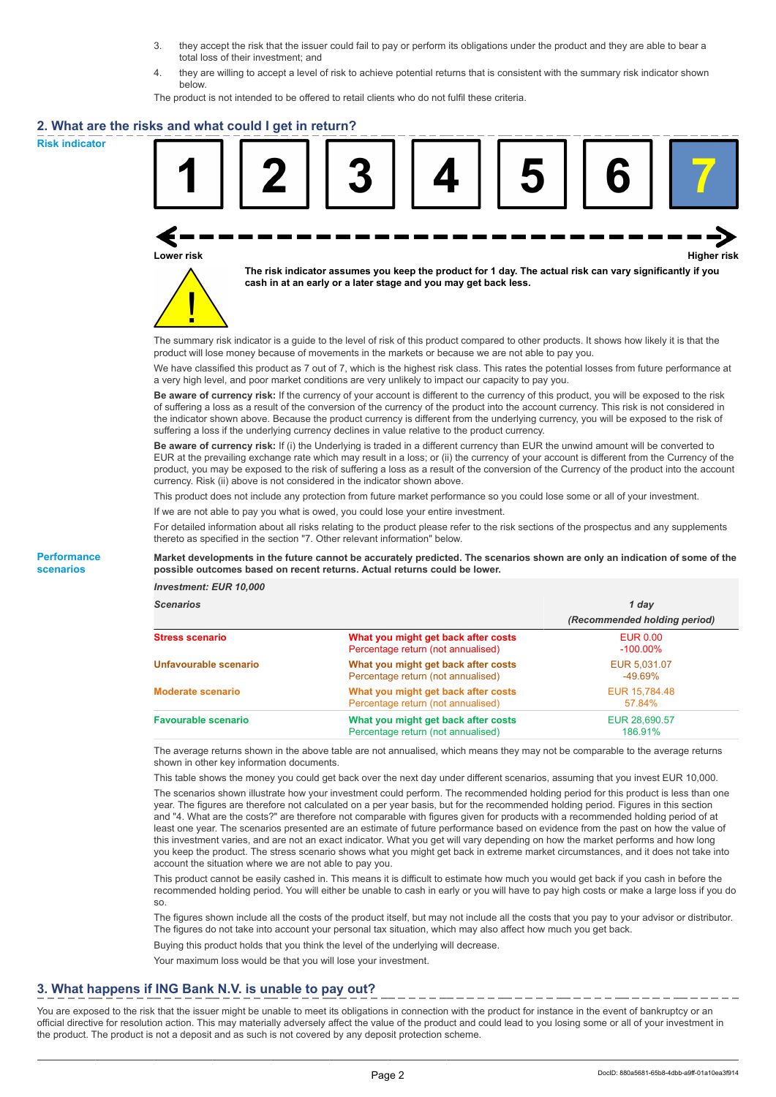- 3. they accept the risk that the issuer could fail to pay or perform its obligations under the product and they are able to bear a total loss of their investment; and
- 4. they are willing to accept a level of risk to achieve potential returns that is consistent with the summary risk indicator shown below.

The product is not intended to be offered to retail clients who do not fulfil these criteria.

## **2. What are the risks and what could I get in return?**

**Risk indicator**

**Performance scenarios**





**The risk indicator assumes you keep the product for 1 day. The actual risk can vary significantly if you cash in at an early or a later stage and you may get back less.**

The summary risk indicator is a guide to the level of risk of this product compared to other products. It shows how likely it is that the product will lose money because of movements in the markets or because we are not able to pay you.

We have classified this product as 7 out of 7, which is the highest risk class. This rates the potential losses from future performance at a very high level, and poor market conditions are very unlikely to impact our capacity to pay you.

**Be aware of currency risk:** If the currency of your account is different to the currency of this product, you will be exposed to the risk of suffering a loss as a result of the conversion of the currency of the product into the account currency. This risk is not considered in the indicator shown above. Because the product currency is different from the underlying currency, you will be exposed to the risk of suffering a loss if the underlying currency declines in value relative to the product currency.

**Be aware of currency risk:** If (i) the Underlying is traded in a different currency than EUR the unwind amount will be converted to EUR at the prevailing exchange rate which may result in a loss; or (ii) the currency of your account is different from the Currency of the product, you may be exposed to the risk of suffering a loss as a result of the conversion of the Currency of the product into the account currency. Risk (ii) above is not considered in the indicator shown above.

This product does not include any protection from future market performance so you could lose some or all of your investment.

If we are not able to pay you what is owed, you could lose your entire investment.

For detailed information about all risks relating to the product please refer to the risk sections of the prospectus and any supplements thereto as specified in the section "7. Other relevant information" below.

#### **Market developments in the future cannot be accurately predicted. The scenarios shown are only an indication of some of the possible outcomes based on recent returns. Actual returns could be lower.**

*Investment: EUR 10,000*

| <b>Scenarios</b>           |                                                                           | 1 day                          |  |
|----------------------------|---------------------------------------------------------------------------|--------------------------------|--|
|                            |                                                                           | (Recommended holding period)   |  |
| <b>Stress scenario</b>     | What you might get back after costs<br>Percentage return (not annualised) | <b>EUR 0.00</b><br>$-100.00\%$ |  |
| Unfavourable scenario      | What you might get back after costs<br>Percentage return (not annualised) | EUR 5.031.07<br>$-49.69%$      |  |
| <b>Moderate scenario</b>   | What you might get back after costs<br>Percentage return (not annualised) | EUR 15.784.48<br>57.84%        |  |
| <b>Favourable scenario</b> | What you might get back after costs<br>Percentage return (not annualised) | EUR 28,690.57<br>186.91%       |  |

The average returns shown in the above table are not annualised, which means they may not be comparable to the average returns shown in other key information documents.

This table shows the money you could get back over the next day under different scenarios, assuming that you invest EUR 10,000.

The scenarios shown illustrate how your investment could perform. The recommended holding period for this product is less than one year. The figures are therefore not calculated on a per year basis, but for the recommended holding period. Figures in this section and "4. What are the costs?" are therefore not comparable with figures given for products with a recommended holding period of at least one year. The scenarios presented are an estimate of future performance based on evidence from the past on how the value of this investment varies, and are not an exact indicator. What you get will vary depending on how the market performs and how long you keep the product. The stress scenario shows what you might get back in extreme market circumstances, and it does not take into account the situation where we are not able to pay you.

This product cannot be easily cashed in. This means it is difficult to estimate how much you would get back if you cash in before the recommended holding period. You will either be unable to cash in early or you will have to pay high costs or make a large loss if you do so.

The figures shown include all the costs of the product itself, but may not include all the costs that you pay to your advisor or distributor. The figures do not take into account your personal tax situation, which may also affect how much you get back.

Buying this product holds that you think the level of the underlying will decrease.

Your maximum loss would be that you will lose your investment.

## **3. What happens if ING Bank N.V. is unable to pay out?**

You are exposed to the risk that the issuer might be unable to meet its obligations in connection with the product for instance in the event of bankruptcy or an official directive for resolution action. This may materially adversely affect the value of the product and could lead to you losing some or all of your investment in the product. The product is not a deposit and as such is not covered by any deposit protection scheme.